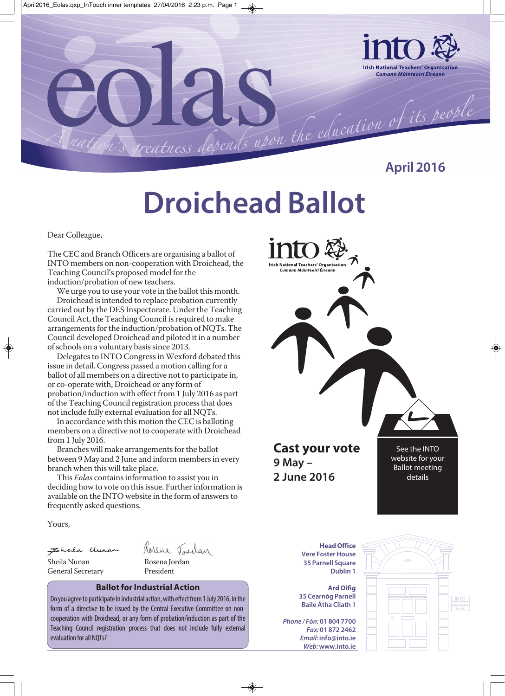

**April 2016**

### **Droichead Ballot**

Dear Colleague,

The CEC and Branch Officers are organising a ballot of INTO members on non-cooperation with Droichead, the Teaching Council's proposed model for the induction/probation of new teachers.

We urge you to use your vote in the ballot this month.

Droichead is intended to replace probation currently carried out by the DES Inspectorate. Under the Teaching Council Act, the Teaching Council is required to make arrangements for the induction/probation of NQTs. The Council developed Droichead and piloted it in a number of schools on a voluntary basis since 2013.

Delegates to INTO Congress in Wexford debated this issue in detail. Congress passed a motion calling for a ballot of all members on a directive not to participate in, or co-operate with, Droichead or any form of probation/induction with effect from 1 July 2016 as part of the Teaching Council registration process that does not include fully external evaluation for all NQTs.

In accordance with this motion the CEC is balloting members on a directive not to cooperate with Droichead from 1 July 2016.

Branches will make arrangements for the ballot between 9 May and 2 June and inform members in every branch when this will take place.

This *Eolas* contains information to assist you in deciding how to vote on this issue. Further information is available on the INTO website in the form of answers to frequently asked questions.

Yours,

Ehala Uman

Rorena Tavilan

General Secretary President

Sheila Nunan Rosena Jordan

### **Ballot for Industrial Action**

Do you agree to participate in industrial action, with effect from 1 July 2016, in the form of a directive to be issued by the Central Executive Committee on noncooperation with Droichead, or any form of probation/induction as part of the Teaching Council registration process that does not include fully external evaluation for all NQTs?



**Ard Oifig 35 Cearnóg Parnell Baile Átha Cliath 1**

**Dublin 1**

**Phone / Fón: 01 804 7700 Fax: 01 872 2462 Email: info@into.ie Web: www.into.ie**

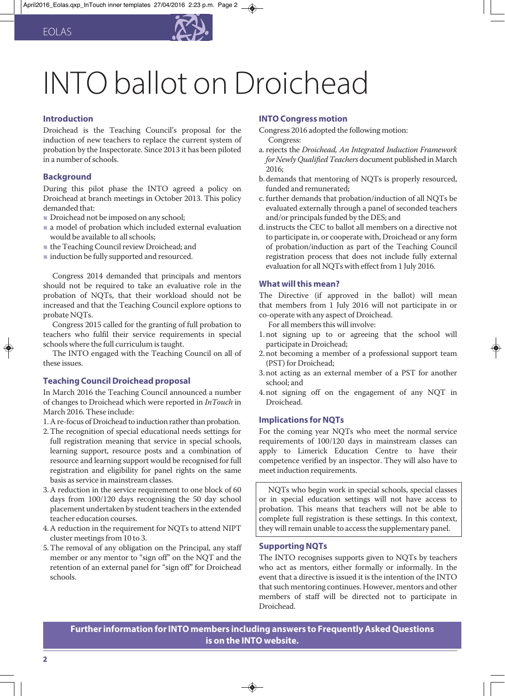

## INTO ballot on Droichead

### **Introduction**

Droichead is the Teaching Council's proposal for the induction of new teachers to replace the current system of probation by the Inspectorate. Since 2013 it has been piloted in a number of schools.

### **Background**

During this pilot phase the INTO agreed a policy on Droichead at branch meetings in October 2013. This policy demanded that:

- Droichead not be imposed on any school;
- a model of probation which included external evaluation would be available to all schools;
- the Teaching Council review Droichead; and
- induction be fully supported and resourced.

Congress 2014 demanded that principals and mentors should not be required to take an evaluative role in the probation of NQTs, that their workload should not be increased and that the Teaching Council explore options to probate NQTs.

Congress 2015 called for the granting of full probation to teachers who fulfil their service requirements in special schools where the full curriculum is taught.

The INTO engaged with the Teaching Council on all of these issues.

### **Teaching Council Droichead proposal**

In March 2016 the Teaching Council announced a number of changes to Droichead which were reported in *InTouch* in March 2016. These include:

1. A re-focus of Droichead to induction rather than probation.

- 2. The recognition of special educational needs settings for full registration meaning that service in special schools, learning support, resource posts and a combination of resource and learning support would be recognised for full registration and eligibility for panel rights on the same basis as service in mainstream classes.
- 3. A reduction in the service requirement to one block of 60 days from 100/120 days recognising the 50 day school placement undertaken by student teachers in the extended teacher education courses.
- 4. A reduction in the requirement for NQTs to attend NIPT cluster meetings from 10 to 3.
- 5. The removal of any obligation on the Principal, any staff member or any mentor to "sign off" on the NQT and the retention of an external panel for "sign off" for Droichead schools.

### **INTO Congress motion**

- Congress 2016 adopted the following motion: Congress:
- a. rejects the *Droichead, An Integrated Induction Framework for Newly Qualified Teachers* document published in March 2016;
- b.demands that mentoring of NQTs is properly resourced, funded and remunerated;
- c. further demands that probation/induction of all NQTs be evaluated externally through a panel of seconded teachers and/or principals funded by the DES; and
- d.instructs the CEC to ballot all members on a directive not to participate in, or cooperate with, Droichead or any form of probation/induction as part of the Teaching Council registration process that does not include fully external evaluation for all NQTs with effect from 1 July 2016.

### **What will this mean?**

The Directive (if approved in the ballot) will mean that members from 1 July 2016 will not participate in or co-operate with any aspect of Droichead.

For all members this will involve:

- 1. not signing up to or agreeing that the school will participate in Droichead;
- 2. not becoming a member of a professional support team (PST) for Droichead;
- 3. not acting as an external member of a PST for another school; and
- 4. not signing off on the engagement of any NQT in Droichead.

### **Implications for NQTs**

For the coming year NQTs who meet the normal service requirements of 100/120 days in mainstream classes can apply to Limerick Education Centre to have their competence verified by an inspector. They will also have to meet induction requirements.

NQTs who begin work in special schools, special classes or in special education settings will not have access to probation. This means that teachers will not be able to complete full registration is these settings. In this context, they will remain unable to access the supplementary panel.

### **Supporting NQTs**

The INTO recognises supports given to NQTs by teachers who act as mentors, either formally or informally. In the event that a directive is issued it is the intention of the INTO that such mentoring continues. However, mentors and other members of staff will be directed not to participate in Droichead.

**Further information for INTO members including answers to Frequently Asked Questions is on the INTO website.**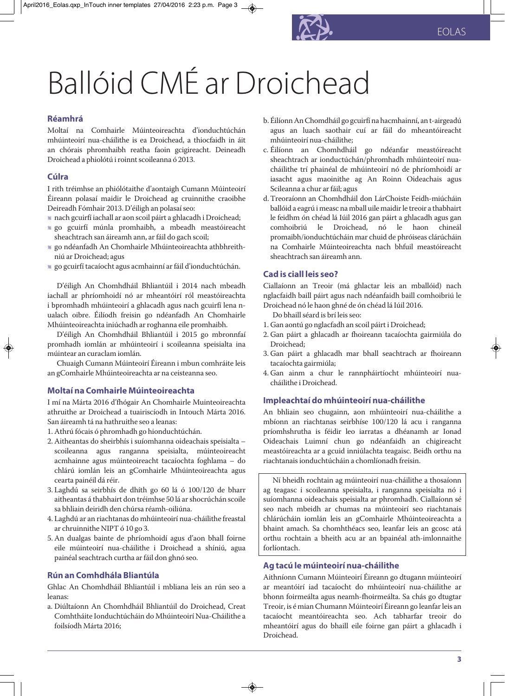# Ballóid CMÉ ar Droichead

### **Réamhrá**

Moltaí na Comhairle Múinteoireachta d'ionduchtúchán mhúinteoirí nua-cháilithe is ea Droichead, a thiocfaidh in áit an chórais phromhaibh reatha faoin gcigireacht. Deineadh Droichead a phiolótú i roinnt scoileanna ó 2013.

### **Cúlra**

I rith tréimhse an phiólótaithe d'aontaigh Cumann Múinteoirí Éireann polasaí maidir le Droichead ag cruinnithe craoibhe Deireadh Fómhair 2013. D'éiligh an polasaí seo:

- nach gcuirfí iachall ar aon scoil páirt a ghlacadh i Droichead;
- go gcuirfí múnla promhaibh, a mbeadh meastóireacht sheachtrach san áireamh ann, ar fáil do gach scoil;
- go ndéanfadh An Chomhairle Mhúinteoireachta athbhreithniú ar Droichead; agus
- go gcuirfí tacaíocht agus acmhainní ar fáil d'ionduchtúchán.

D'éiligh An Chomhdháil Bhliantúil i 2014 nach mbeadh iachall ar phríomhoidí nó ar mheantóirí ról meastóireachta i bpromhadh mhúinteoirí a ghlacadh agus nach gcuirfí lena nualach oibre. Éilíodh freisin go ndéanfadh An Chomhairle Mhúinteoireachta iniúchadh ar roghanna eile promhaibh.

D'éiligh An Chomhdháil Bhliantúil i 2015 go mbronnfaí promhadh iomlán ar mhúinteoirí i scoileanna speisialta ina múintear an curaclam iomlán.

Chuaigh Cumann Múinteoirí Éireann i mbun comhráite leis an gComhairle Mhúinteoireachta ar na ceisteanna seo.

### **Moltaí na Comhairle Múinteoireachta**

I mí na Márta 2016 d'fhógair An Chomhairle Muinteoireachta athruithe ar Droichead a tuairiscíodh in Intouch Márta 2016. San áireamh tá na hathruithe seo a leanas:

- 1. Athrú fócais ó phromhadh go hionduchtúchán.
- 2. Aitheantas do sheirbhís i suíomhanna oideachais speisialta scoileanna agus ranganna speisialta, múinteoireacht acmhainne agus múinteoireacht tacaíochta foghlama – do chlárú iomlán leis an gComhairle Mhúinteoireachta agus cearta painéil dá réir.
- 3. Laghdú sa seirbhís de dhíth go 60 lá ó 100/120 de bharr aitheantas á thabhairt don tréimhse 50 lá ar shocrúchán scoile sa bhliain deiridh den chúrsa réamh-oiliúna.
- 4. Laghdú ar an riachtanas do mhúinteoirí nua-cháilithe freastal ar chruinnithe NIPT ó 10 go 3.
- 5. An dualgas bainte de phríomhoidí agus d'aon bhall foirne eile múinteoirí nua-cháilithe i Droichead a shíniú, agua painéal seachtrach curtha ar fáil don ghnó seo.

### **Rún an Comhdhála Bliantúla**

Ghlac An Chomhdháil Bhliantúil i mbliana leis an rún seo a leanas:

a. Diúltaíonn An Chomhdháil Bhliantúil do Droichead, Creat Comhtháite Ionduchtúcháin do Mhúinteoirí Nua-Cháilithe a foilsíodh Márta 2016;

- b. Éilíonn An Chomdháil go gcuirfí na hacmhainní, an t-airgeadú agus an luach saothair cuí ar fáil do mheantóireacht mhúinteoirí nua-cháilithe;
- c. Éilíonn an Chomhdháil go ndéanfar meastóireacht sheachtrach ar ionductúchán/phromhadh mhúinteoirí nuacháilithe trí phainéal de mhúinteoirí nó de phríomhoidí ar iasacht agus maoinithe ag An Roinn Oideachais agus Scileanna a chur ar fáil; agus
- d. Treoraíonn an Chomhdháil don LárChoiste Feidh-miúcháin ballóid a eagrú i measc na mball uile maidir le treoir a thabhairt le feidhm ón chéad lá Iúil 2016 gan páirt a ghlacadh agus gan comhoibriú le Droichead, nó le haon chineál promaibh/ionduchtúcháin mar chuid de phróiseas clárúcháin na Comhairle Múinteoireachta nach bhfuil meastóireacht sheachtrach san áireamh ann.

### **Cad is ciall leis seo?**

Ciallaíonn an Treoir (má ghlactar leis an mballóid) nach nglacfaidh baill páirt agus nach ndéanfaidh baill comhoibriú le Droichead nó le haon ghné de ón chéad lá Iúil 2016.

Do bhaill séard is brí leis seo:

- 1. Gan aontú go nglacfadh an scoil páirt i Droichead;
- 2. Gan páirt a ghlacadh ar fhoireann tacaíochta gairmiúla do Droichead;
- 3. Gan páirt a ghlacadh mar bhall seachtrach ar fhoireann tacaíochta gairmiúla;
- 4. Gan ainm a chur le rannpháirtíocht mhúinteoirí nuacháilithe i Droichead.

### **Impleachtaí do mhúinteoirí nua-cháilithe**

An bhliain seo chugainn, aon mhúinteoirí nua-cháilithe a mbíonn an riachtanas seirbhíse 100/120 lá acu i ranganna príomhshrutha is féidir leo iarratas a dhéanamh ar Ionad Oideachais Luimní chun go ndéanfaidh an chigireacht meastóireachta ar a gcuid inniúlachta teagaisc. Beidh orthu na riachtanais ionduchtúcháin a chomlíonadh freisin.

Ní bheidh rochtain ag múinteoirí nua-cháilithe a thosaíonn ag teagasc i scoileanna speisialta, i ranganna speisialta nó i suíomhanna oideachais speisialta ar phromhadh. Ciallaíonn sé seo nach mbeidh ar chumas na múinteoirí seo riachtanais chlárúcháin iomlán leis an gComhairle Mhúinteoireachta a bhaint amach. Sa chomhthéacs seo, leanfar leis an gcosc atá orthu rochtain a bheith acu ar an bpainéal ath-imlonnaithe forlíontach.

### **Ag tacú le múinteoirí nua-cháilithe**

Aithníonn Cumann Múinteoirí Éireann go dtugann múinteoirí ar meantóirí iad tacaíocht do mhúinteoirí nua-cháilithe ar bhonn foirmeálta agus neamh-fhoirmeálta. Sa chás go dtugtar Treoir, is é mian Chumann Múinteoirí Éireann go leanfar leis an tacaíocht meantóireachta seo. Ach tabharfar treoir do mheantóirí agus do bhaill eile foirne gan páirt a ghlacadh i Droichead.